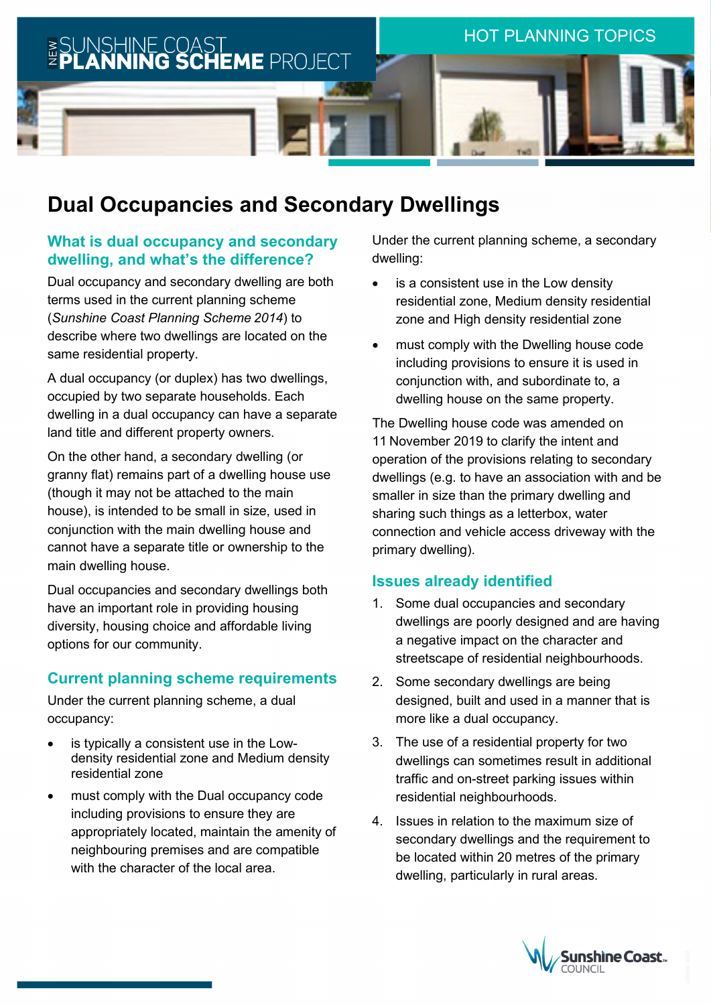

# **Dual Occupancies and Secondary Dwellings**

## **What is dual occupancy and secondary dwelling, and what's the difference?**

Dual occupancy and secondary dwelling are both terms used in the current planning scheme (*Sunshine Coast Planning Scheme 2014*) to describe where two dwellings are located on the same residential property.

A dual occupancy (or duplex) has two dwellings, occupied by two separate households. Each dwelling in a dual occupancy can have a separate land title and different property owners.

On the other hand, a secondary dwelling (or granny flat) remains part of a dwelling house use (though it may not be attached to the main house), is intended to be small in size, used in conjunction with the main dwelling house and cannot have a separate title or ownership to the main dwelling house.

Dual occupancies and secondary dwellings both have an important role in providing housing diversity, housing choice and affordable living options for our community.

## **Current planning scheme requirements**

Under the current planning scheme, a dual occupancy:

- is typically a consistent use in the Lowdensity residential zone and Medium density residential zone
- must comply with the Dual occupancy code including provisions to ensure they are appropriately located, maintain the amenity of neighbouring premises and are compatible with the character of the local area.

Under the current planning scheme, a secondary dwelling:

- is a consistent use in the Low density residential zone, Medium density residential zone and High density residential zone
- must comply with the Dwelling house code including provisions to ensure it is used in conjunction with, and subordinate to, a dwelling house on the same property.

The Dwelling house code was amended on 11 November 2019 to clarify the intent and operation of the provisions relating to secondary dwellings (e.g. to have an association with and be smaller in size than the primary dwelling and sharing such things as a letterbox, water connection and vehicle access driveway with the primary dwelling).

## **Issues already identified**

- 1. Some dual occupancies and secondary dwellings are poorly designed and are having a negative impact on the character and streetscape of residential neighbourhoods.
- 2. Some secondary dwellings are being designed, built and used in a manner that is more like a dual occupancy.
- 3. The use of a residential property for two dwellings can sometimes result in additional traffic and on-street parking issues within residential neighbourhoods.
- 4. Issues in relation to the maximum size of secondary dwellings and the requirement to be located within 20 metres of the primary dwelling, particularly in rural areas.